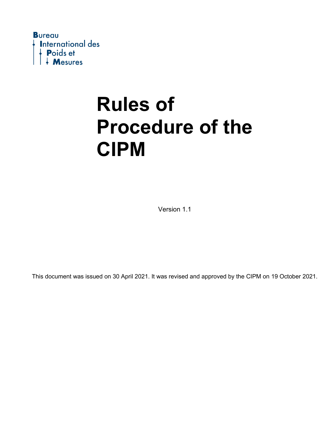

Version 1.1

This document was issued on 30 April 2021. It was revised and approved by the CIPM on 19 October 2021.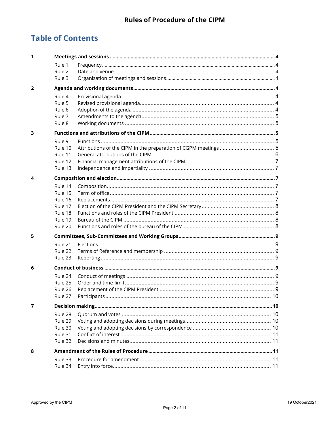## **Table of Contents**

| 1              |                                                                           |              |  |
|----------------|---------------------------------------------------------------------------|--------------|--|
|                | Rule 1<br>Rule 2<br>Rule 3                                                |              |  |
|                |                                                                           |              |  |
| $\overline{2}$ |                                                                           |              |  |
|                | Rule 4<br>Rule 5<br>Rule 6<br>Rule 7<br>Rule 8                            |              |  |
| 3              |                                                                           |              |  |
|                | Rule 9<br>Rule 10<br>Rule 11<br>Rule 12<br>Rule 13                        |              |  |
| 4              |                                                                           |              |  |
|                | Rule 14<br>Rule 15<br>Rule 16<br>Rule 17<br>Rule 18<br>Rule 19<br>Rule 20 |              |  |
| 5              |                                                                           |              |  |
|                | Rule 21<br>Rule 22<br>Rule 23                                             |              |  |
| 6              |                                                                           |              |  |
|                | Rule 24<br>Rule 25<br>Rule 26<br>Rule 27                                  | Participants |  |
| 7              |                                                                           |              |  |
|                | Rule 28<br>Rule 29<br>Rule 30<br>Rule 31<br>Rule 32                       |              |  |
| 8              |                                                                           |              |  |
|                | Rule 33<br>Rule 34                                                        |              |  |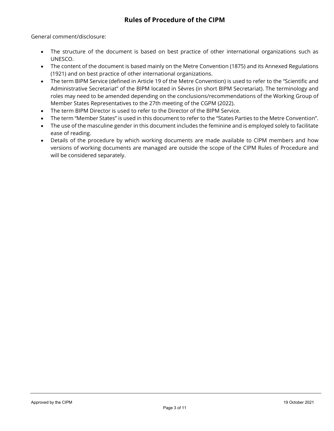General comment/disclosure:

- The structure of the document is based on best practice of other international organizations such as UNESCO.
- The content of the document is based mainly on the Metre Convention (1875) and its Annexed Regulations (1921) and on best practice of other international organizations.
- The term BIPM Service (defined in Article 19 of the Metre Convention) is used to refer to the "Scientific and Administrative Secretariat" of the BIPM located in Sèvres (in short BIPM Secretariat). The terminology and roles may need to be amended depending on the conclusions/recommendations of the Working Group of Member States Representatives to the 27th meeting of the CGPM (2022).
- The term BIPM Director is used to refer to the Director of the BIPM Service.
- The term "Member States" is used in this document to refer to the "States Parties to the Metre Convention".
- The use of the masculine gender in this document includes the feminine and is employed solely to facilitate ease of reading.
- Details of the procedure by which working documents are made available to CIPM members and how versions of working documents are managed are outside the scope of the CIPM Rules of Procedure and will be considered separately.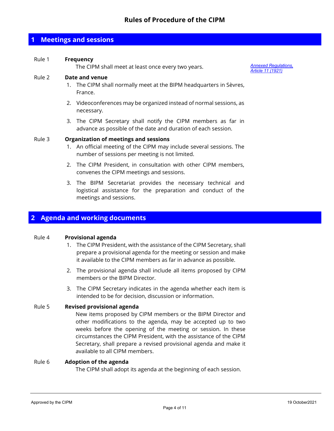## <span id="page-3-0"></span>**1 Meetings and sessions**

#### <span id="page-3-1"></span>Rule 1 **Frequency**

The CIPM shall meet at least once every two years. *Annexed [Regulations,](https://www.bipm.org/documents/20126/44107685/metre-convention.pdf/cd9c9e57-0cc6-4cda-2930-ec1d7c853743?version=1.5&download=true)* 

*Article [11 \(1921\)](https://www.bipm.org/documents/20126/44107685/metre-convention.pdf/cd9c9e57-0cc6-4cda-2930-ec1d7c853743?version=1.5&download=true)*

#### <span id="page-3-2"></span>Rule 2 **Date and venue**

- 1. The CIPM shall normally meet at the BIPM headquarters in Sèvres, France.
- 2. Videoconferences may be organized instead of normal sessions, as necessary.
- 3. The CIPM Secretary shall notify the CIPM members as far in advance as possible of the date and duration of each session.

#### <span id="page-3-3"></span>Rule 3 **Organization of meetings and sessions**

- 1. An official meeting of the CIPM may include several sessions. The number of sessions per meeting is not limited.
- 2. The CIPM President, in consultation with other CIPM members, convenes the CIPM meetings and sessions.
- 3. The BIPM Secretariat provides the necessary technical and logistical assistance for the preparation and conduct of the meetings and sessions.

#### <span id="page-3-4"></span>**2 Agenda and working documents**

#### <span id="page-3-5"></span>Rule 4 **Provisional agenda**

- 1. The CIPM President, with the assistance of the CIPM Secretary, shall prepare a provisional agenda for the meeting or session and make it available to the CIPM members as far in advance as possible.
- 2. The provisional agenda shall include all items proposed by CIPM members or the BIPM Director.
- 3. The CIPM Secretary indicates in the agenda whether each item is intended to be for decision, discussion or information.

#### <span id="page-3-6"></span>Rule 5 **Revised provisional agenda**

New items proposed by CIPM members or the BIPM Director and other modifications to the agenda, may be accepted up to two weeks before the opening of the meeting or session. In these circumstances the CIPM President, with the assistance of the CIPM Secretary, shall prepare a revised provisional agenda and make it available to all CIPM members.

#### <span id="page-3-7"></span>Rule 6 **Adoption of the agenda**

The CIPM shall adopt its agenda at the beginning of each session.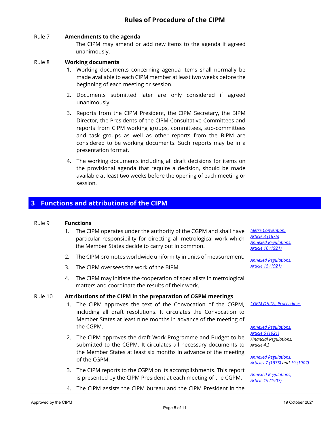#### <span id="page-4-0"></span>Rule 7 **Amendments to the agenda**

The CIPM may amend or add new items to the agenda if agreed unanimously.

#### <span id="page-4-1"></span>Rule 8 **Working documents**

- 1. Working documents concerning agenda items shall normally be made available to each CIPM member at least two weeks before the beginning of each meeting or session.
- 2. Documents submitted later are only considered if agreed unanimously.
- 3. Reports from the CIPM President, the CIPM Secretary, the BIPM Director, the Presidents of the CIPM Consultative Committees and reports from CIPM working groups, committees, sub-committees and task groups as well as other reports from the BIPM are considered to be working documents. Such reports may be in a presentation format.
- 4. The working documents including all draft decisions for items on the provisional agenda that require a decision, should be made available at least two weeks before the opening of each meeting or session.

## <span id="page-4-2"></span>**3 Functions and attributions of the CIPM**

#### <span id="page-4-3"></span>Rule 9 **Functions**

- 1. The CIPM operates under the authority of the CGPM and shall have *Metre [Convention,](https://www.bipm.org/documents/20126/44107685/Diplomatic-Conference-Metre.pdf/301e6953-917e-6844-4d01-24451126ca2c?version=1.3&download=true)*  particular responsibility for directing all metrological work which the Member States decide to carry out in common.
- 2. The CIPM promotes worldwide uniformity in units of measurement.
- 3. The CIPM oversees the work of the BIPM.
- 4. The CIPM may initiate the cooperation of specialists in metrological matters and coordinate the results of their work.

#### <span id="page-4-4"></span>Rule 10 **Attributions of the CIPM in the preparation of CGPM meetings**

- 1. The CIPM approves the text of the Convocation of the CGPM, including all draft resolutions. It circulates the Convocation to Member States at least nine months in advance of the meeting of the CGPM.
- 2. The CIPM approves the draft Work Programme and Budget to be submitted to the CGPM. It circulates all necessary documents to the Member States at least six months in advance of the meeting of the CGPM.
- 3. The CIPM reports to the CGPM on its accomplishments. This report is presented by the CIPM President at each meeting of the CGPM.

*Article [3 \(1875\)](https://www.bipm.org/documents/20126/44107685/Diplomatic-Conference-Metre.pdf/301e6953-917e-6844-4d01-24451126ca2c?version=1.3&download=true) [Annexed Regulations,](https://www.bipm.org/documents/20126/44107685/metre-convention.pdf/cd9c9e57-0cc6-4cda-2930-ec1d7c853743?version=1.5&download=true)  [Article 10 \(1921\)](https://www.bipm.org/documents/20126/44107685/metre-convention.pdf/cd9c9e57-0cc6-4cda-2930-ec1d7c853743?version=1.5&download=true)*

*[Annexed Regulations,](https://www.bipm.org/documents/20126/44107685/metre-convention.pdf/cd9c9e57-0cc6-4cda-2930-ec1d7c853743?version=1.5&download=true)  [Article 15 \(1921\)](https://www.bipm.org/documents/20126/44107685/metre-convention.pdf/cd9c9e57-0cc6-4cda-2930-ec1d7c853743?version=1.5&download=true)*

*[CGPM \(1927\), Proceedings](https://www.bipm.org/documents/20126/33145657/CGPM7.pdf/761ccd6d-b5cd-e449-761d-1b78aa99d7f2)*

*Annexed [Regulations,](https://www.bipm.org/documents/20126/44107685/metre-convention.pdf/cd9c9e57-0cc6-4cda-2930-ec1d7c853743?version=1.5&download=true)  Article [6 \(1921\)](https://www.bipm.org/documents/20126/44107685/metre-convention.pdf/cd9c9e57-0cc6-4cda-2930-ec1d7c853743?version=1.5&download=true) Financial Regulations, Article 4.3*

*Annexed [Regulations,](https://www.bipm.org/documents/20126/44107685/metre-convention.pdf/cd9c9e57-0cc6-4cda-2930-ec1d7c853743?version=1.5&download=true)  [Articles](https://www.bipm.org/documents/20126/44107685/metre-convention.pdf/cd9c9e57-0cc6-4cda-2930-ec1d7c853743?version=1.5&download=true) 7 (1875) and [19 \(1907\)](https://www.bipm.org/documents/20126/44107685/metre-convention.pdf/cd9c9e57-0cc6-4cda-2930-ec1d7c853743?version=1.5&download=true)*

*Annexed [Regulations,](https://www.bipm.org/documents/20126/44107685/metre-convention.pdf/cd9c9e57-0cc6-4cda-2930-ec1d7c853743?version=1.5&download=true)  Article [19 \(1907\)](https://www.bipm.org/documents/20126/44107685/metre-convention.pdf/cd9c9e57-0cc6-4cda-2930-ec1d7c853743?version=1.5&download=true)*

4. The CIPM assists the CIPM bureau and the CIPM President in the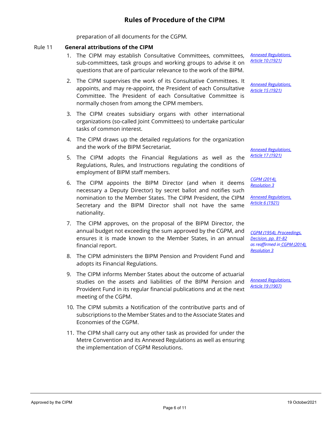preparation of all documents for the CGPM.

#### <span id="page-5-0"></span>Rule 11 **General attributions of the CIPM**

- 1. The CIPM may establish Consultative Committees, committees, sub-committees, task groups and working groups to advise it on questions that are of particular relevance to the work of the BIPM.
- 2. The CIPM supervises the work of its Consultative Committees. It appoints, and may re-appoint, the President of each Consultative Committee. The President of each Consultative Committee is normally chosen from among the CIPM members.
- 3. The CIPM creates subsidiary organs with other international organizations (so-called Joint Committees) to undertake particular tasks of common interest.
- 4. The CIPM draws up the detailed regulations for the organization and the work of the BIPM Secretariat.
- 5. The CIPM adopts the Financial Regulations as well as the Regulations, Rules, and Instructions regulating the conditions of employment of BIPM staff members.
- 6. The CIPM appoints the BIPM Director (and when it deems necessary a Deputy Director) by secret ballot and notifies such nomination to the Member States. The CIPM President, the CIPM Secretary and the BIPM Director shall not have the same nationality.
- 7. The CIPM approves, on the proposal of the BIPM Director, the annual budget not exceeding the sum approved by the CGPM, and ensures it is made known to the Member States, in an annual financial report.
- 8. The CIPM administers the BIPM Pension and Provident Fund and adopts its Financial Regulations.
- 9. The CIPM informs Member States about the outcome of actuarial studies on the assets and liabilities of the BIPM Pension and Provident Fund in its regular financial publications and at the next meeting of the CGPM.
- 10. The CIPM submits a Notification of the contributive parts and of subscriptions to the Member States and to the Associate States and Economies of the CGPM.
- 11. The CIPM shall carry out any other task as provided for under the Metre Convention and its Annexed Regulations as well as ensuring the implementation of CGPM Resolutions.

*Annexed [Regulations,](https://www.bipm.org/documents/20126/44107685/metre-convention.pdf/cd9c9e57-0cc6-4cda-2930-ec1d7c853743?version=1.5&download=true)  Article [10 \(1921\)](https://www.bipm.org/documents/20126/44107685/metre-convention.pdf/cd9c9e57-0cc6-4cda-2930-ec1d7c853743?version=1.5&download=true)*

*Annexed [Regulations,](https://www.bipm.org/documents/20126/44107685/metre-convention.pdf/cd9c9e57-0cc6-4cda-2930-ec1d7c853743?version=1.5&download=true)  Article [15 \(1921\)](https://www.bipm.org/documents/20126/44107685/metre-convention.pdf/cd9c9e57-0cc6-4cda-2930-ec1d7c853743?version=1.5&download=true)*

*Annexed [Regulations,](https://www.bipm.org/documents/20126/44107685/metre-convention.pdf/cd9c9e57-0cc6-4cda-2930-ec1d7c853743?version=1.5&download=true)  Article [17 \(1921\)](https://www.bipm.org/documents/20126/44107685/metre-convention.pdf/cd9c9e57-0cc6-4cda-2930-ec1d7c853743?version=1.5&download=true)*

*CGPM [\(2014\),](https://www.bipm.org/web/guest/committees/cg/cgpm/25-2014/resolution-3)  [Resolution](https://www.bipm.org/web/guest/committees/cg/cgpm/25-2014/resolution-3) 3*

*Annexed [Regulations,](https://www.bipm.org/documents/20126/44107685/metre-convention.pdf/cd9c9e57-0cc6-4cda-2930-ec1d7c853743?version=1.5&download=true)  Article [6 \(1921\)](https://www.bipm.org/documents/20126/44107685/metre-convention.pdf/cd9c9e57-0cc6-4cda-2930-ec1d7c853743?version=1.5&download=true)*

*[CGPM \(1954\), Proceedings,](https://www.bipm.org/documents/20126/33145676/CGPM10.pdf/cee1e26a-3a4c-221b-ce37-57428adf5ac7)  [Decision, pp. 81-82](https://www.bipm.org/documents/20126/33145676/CGPM10.pdf/cee1e26a-3a4c-221b-ce37-57428adf5ac7) as reaffirmed in [CGPM \(2014\),](https://www.bipm.org/web/guest/committees/cg/cgpm/25-2014/resolution-3)  [Resolution 3](https://www.bipm.org/web/guest/committees/cg/cgpm/25-2014/resolution-3)*

*Annexed [Regulations,](https://www.bipm.org/documents/20126/44107685/metre-convention.pdf/cd9c9e57-0cc6-4cda-2930-ec1d7c853743?version=1.5&download=true)  Article [19 \(1907\)](https://www.bipm.org/documents/20126/44107685/metre-convention.pdf/cd9c9e57-0cc6-4cda-2930-ec1d7c853743?version=1.5&download=true)*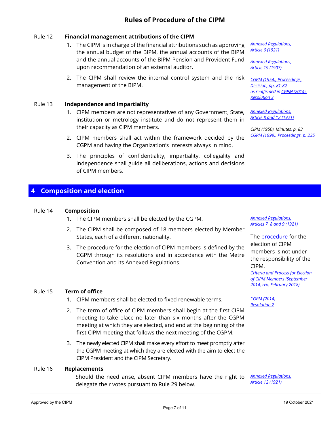#### <span id="page-6-0"></span>Rule 12 **Financial management attributions of the CIPM**

- 1. The CIPM is in charge of the financial attributions such as approving the annual budget of the BIPM, the annual accounts of the BIPM and the annual accounts of the BIPM Pension and Provident Fund upon recommendation of an external auditor.
- 2. The CIPM shall review the internal control system and the risk management of the BIPM.

#### <span id="page-6-1"></span>Rule 13 **Independence and impartiality**

- 1. CIPM members are not representatives of any Government, State, institution or metrology institute and do not represent them in their capacity as CIPM members.
- 2. CIPM members shall act within the framework decided by the CGPM and having the Organization's interests always in mind.
- 3. The principles of confidentiality, impartiality, collegiality and independence shall guide all deliberations, actions and decisions of CIPM members.

## <span id="page-6-2"></span>**4 Composition and election**

#### <span id="page-6-3"></span>Rule 14 **Composition**

- 1. The CIPM members shall be elected by the CGPM.
- 2. The CIPM shall be composed of 18 members elected by Member States, each of a different nationality.
- 3. The procedure for the election of CIPM members is defined by the CGPM through its resolutions and in accordance with the Metre Convention and its Annexed Regulations.

#### <span id="page-6-4"></span>Rule 15 **Term of office**

- 1. CIPM members shall be elected to fixed renewable terms.
- 2. The term of office of CIPM members shall begin at the first CIPM meeting to take place no later than six months after the CGPM meeting at which they are elected, and end at the beginning of the first CIPM meeting that follows the next meeting of the CGPM.
- 3. The newly elected CIPM shall make every effort to meet promptly after the CGPM meeting at which they are elected with the aim to elect the CIPM President and the CIPM Secretary.

#### <span id="page-6-5"></span>Rule 16 **Replacements**

Should the need arise, absent CIPM members have the right to delegate their votes pursuant to Rule 29 below.

*Annexed [Regulations,](https://www.bipm.org/documents/20126/44107685/metre-convention.pdf/cd9c9e57-0cc6-4cda-2930-ec1d7c853743?version=1.5&download=true)  Article [6 \(1921\)](https://www.bipm.org/documents/20126/44107685/metre-convention.pdf/cd9c9e57-0cc6-4cda-2930-ec1d7c853743?version=1.5&download=true)*

*Annexed [Regulations,](https://www.bipm.org/documents/20126/44107685/metre-convention.pdf/cd9c9e57-0cc6-4cda-2930-ec1d7c853743?version=1.5&download=true)  Article [19 \(1907\)](https://www.bipm.org/documents/20126/44107685/metre-convention.pdf/cd9c9e57-0cc6-4cda-2930-ec1d7c853743?version=1.5&download=true)*

*[CGPM \(1954\), Proceedings,](https://www.bipm.org/documents/20126/33145676/CGPM10.pdf/cee1e26a-3a4c-221b-ce37-57428adf5ac7)  [Decision, pp. 81-82](https://www.bipm.org/documents/20126/33145676/CGPM10.pdf/cee1e26a-3a4c-221b-ce37-57428adf5ac7) as reaffirmed i[n CGPM \(2014\),](https://www.bipm.org/web/guest/committees/cg/cgpm/25-2014/resolution-3)  [Resolution 3](https://www.bipm.org/web/guest/committees/cg/cgpm/25-2014/resolution-3)*

*Annexed [Regulations,](https://www.bipm.org/documents/20126/44107685/metre-convention.pdf/cd9c9e57-0cc6-4cda-2930-ec1d7c853743?version=1.5&download=true)  Article [8 and 12 \(1921\)](https://www.bipm.org/documents/20126/44107685/metre-convention.pdf/cd9c9e57-0cc6-4cda-2930-ec1d7c853743?version=1.5&download=true)*

*CIPM (1950), Minutes, p. 83 CGPM [\(1999\), Proceedings, p. 235](https://www.bipm.org/documents/20126/33145750/CGPM21.pdf/c113ab98-4856-eeb9-6e8e-ed738a474108)*

*Annexed [Regulations,](https://www.bipm.org/documents/20126/44107685/metre-convention.pdf/cd9c9e57-0cc6-4cda-2930-ec1d7c853743?version=1.5&download=true)  Articles [7, 8 and 9 \(1921\)](https://www.bipm.org/documents/20126/44107685/metre-convention.pdf/cd9c9e57-0cc6-4cda-2930-ec1d7c853743?version=1.5&download=true)*

The **procedure** for the election of CIPM members is not under the responsibility of the CIPM.

*[Criteria and Process for Election](https://www.bipm.org/documents/20126/45873462/CIPM-election-process-EN.pdf/acb4a95c-e33e-3527-9107-11950c2afcae)  [of CIPM Members \(September](https://www.bipm.org/documents/20126/45873462/CIPM-election-process-EN.pdf/acb4a95c-e33e-3527-9107-11950c2afcae)  [2014, rev. February 2018\).](https://www.bipm.org/documents/20126/45873462/CIPM-election-process-EN.pdf/acb4a95c-e33e-3527-9107-11950c2afcae)*

*[CGPM \(2014\)](https://www.bipm.org/web/guest/committees/cg/cgpm/25-2014/resolution-2) [Resolution 2](https://www.bipm.org/web/guest/committees/cg/cgpm/25-2014/resolution-2)*

*Annexed [Regulations,](https://www.bipm.org/documents/20126/44107685/metre-convention.pdf/cd9c9e57-0cc6-4cda-2930-ec1d7c853743?version=1.5&download=true)  [Article 12 \(1921\)](https://www.bipm.org/documents/20126/44107685/metre-convention.pdf/cd9c9e57-0cc6-4cda-2930-ec1d7c853743?version=1.5&download=true)*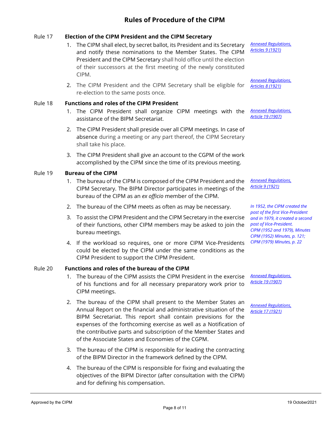#### <span id="page-7-0"></span>Rule 17 **Election of the CIPM President and the CIPM Secretary**

- 1. The CIPM shall elect, by secret ballot, its President and its Secretary and notify these nominations to the Member States. The CIPM President and the CIPM Secretary shall hold office until the election of their successors at the first meeting of the newly constituted CIPM.
- 2. The CIPM President and the CIPM Secretary shall be eligible for re-election to the same posts once.

#### <span id="page-7-1"></span>Rule 18 **Functions and roles of the CIPM President**

- 1. The CIPM President shall organize CIPM meetings with the assistance of the BIPM Secretariat.
- 2. The CIPM President shall preside over all CIPM meetings. In case of absence during a meeting or any part thereof, the CIPM Secretary shall take his place.
- 3. The CIPM President shall give an account to the CGPM of the work accomplished by the CIPM since the time of its previous meeting.

#### <span id="page-7-2"></span>Rule 19 **Bureau of the CIPM**

- 1. The bureau of the CIPM is composed of the CIPM President and the CIPM Secretary. The BIPM Director participates in meetings of the bureau of the CIPM as an *ex officio* member of the CIPM.
- 2. The bureau of the CIPM meets as often as may be necessary.
- 3. To assist the CIPM President and the CIPM Secretary in the exercise of their functions, other CIPM members may be asked to join the bureau meetings.
- 4. If the workload so requires, one or more CIPM Vice-Presidents could be elected by the CIPM under the same conditions as the CIPM President to support the CIPM President.

#### <span id="page-7-3"></span>Rule 20 **Functions and roles of the bureau of the CIPM**

- 1. The bureau of the CIPM assists the CIPM President in the exercise of his functions and for all necessary preparatory work prior to CIPM meetings.
- 2. The bureau of the CIPM shall present to the Member States an Annual Report on the financial and administrative situation of the BIPM Secretariat. This report shall contain previsions for the expenses of the forthcoming exercise as well as a Notification of the contributive parts and subscription of the Member States and of the Associate States and Economies of the CGPM.
- 3. The bureau of the CIPM is responsible for leading the contracting of the BIPM Director in the framework defined by the CIPM.
- 4. The bureau of the CIPM is responsible for fixing and evaluating the objectives of the BIPM Director (after consultation with the CIPM) and for defining his compensation.

*Annexed [Regulations,](https://www.bipm.org/documents/20126/44107685/metre-convention.pdf/cd9c9e57-0cc6-4cda-2930-ec1d7c853743?version=1.5&download=true)  Articles [9 \(1921\)](https://www.bipm.org/documents/20126/44107685/metre-convention.pdf/cd9c9e57-0cc6-4cda-2930-ec1d7c853743?version=1.5&download=true)*

*Annexed [Regulations,](https://www.bipm.org/documents/20126/44107685/metre-convention.pdf/cd9c9e57-0cc6-4cda-2930-ec1d7c853743?version=1.5&download=true)  Articles [8 \(1921\)](https://www.bipm.org/documents/20126/44107685/metre-convention.pdf/cd9c9e57-0cc6-4cda-2930-ec1d7c853743?version=1.5&download=true)*

*Annexed [Regulations,](https://www.bipm.org/documents/20126/44107685/metre-convention.pdf/cd9c9e57-0cc6-4cda-2930-ec1d7c853743?version=1.5&download=true)  Article [19 \(1907\)](https://www.bipm.org/documents/20126/44107685/metre-convention.pdf/cd9c9e57-0cc6-4cda-2930-ec1d7c853743?version=1.5&download=true)*

*Annexed [Regulations,](https://www.bipm.org/documents/20126/44107685/metre-convention.pdf/cd9c9e57-0cc6-4cda-2930-ec1d7c853743?version=1.5&download=true)  Article [9 \(1921\)](https://www.bipm.org/documents/20126/44107685/metre-convention.pdf/cd9c9e57-0cc6-4cda-2930-ec1d7c853743?version=1.5&download=true)*

*In 1952, the CIPM created the post of the first Vice-President and in 1979, it created a second post of Vice-President. CIPM [\(1952](http://www.bipm.org/utils/common/extracts/cipm/CIPM1878-1988_compilation.pdf#page=6) an[d 1979\)](http://www.bipm.org/utils/common/extracts/cipm/CIPM1878-1988_compilation.pdf#page=8), Minutes [CIPM \(1952\) Minutes, p. 121;](https://www.bipm.org/utils/common/pdf/CIPM-PV-OCR/CIPM1952.pdf)  [CIPM \(1979\) Minutes,](https://www.bipm.org/utils/common/pdf/CIPM-PV-OCR/CIPM1979.pdf) p. 22*

*Annexed [Regulations,](https://www.bipm.org/documents/20126/44107685/metre-convention.pdf/cd9c9e57-0cc6-4cda-2930-ec1d7c853743?version=1.5&download=true)  Article [19 \(1907\)](https://www.bipm.org/documents/20126/44107685/metre-convention.pdf/cd9c9e57-0cc6-4cda-2930-ec1d7c853743?version=1.5&download=true)*

*Annexed [Regulations,](https://www.bipm.org/documents/20126/44107685/metre-convention.pdf/cd9c9e57-0cc6-4cda-2930-ec1d7c853743?version=1.5&download=true)  Article [17 \(1921\)](https://www.bipm.org/documents/20126/44107685/metre-convention.pdf/cd9c9e57-0cc6-4cda-2930-ec1d7c853743?version=1.5&download=true)*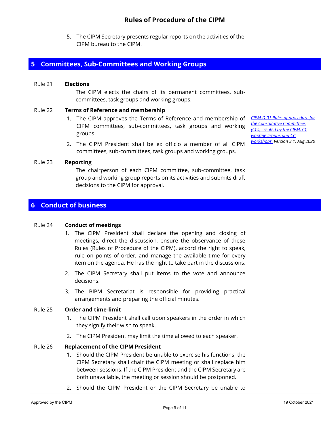5. The CIPM Secretary presents regular reports on the activities of the CIPM bureau to the CIPM.

## <span id="page-8-0"></span>**5 Committees, Sub-Committees and Working Groups**

#### <span id="page-8-1"></span>Rule 21 **Elections**

The CIPM elects the chairs of its permanent committees, subcommittees, task groups and working groups.

#### <span id="page-8-2"></span>Rule 22 **Terms of Reference and membership**

- 1. The CIPM approves the Terms of Reference and membership of CIPM committees, sub-committees, task groups and working groups.
- 2. The CIPM President shall be ex officio a member of all CIPM committees, sub-committees, task groups and working groups.

*[CIPM-D-01 Rules of procedure for](https://www.bipm.org/documents/20126/43280072/CIPM-D-01.pdf/b1a4abb0-8d65-78fd-7e27-76aeb3c7d525)  [the Consultative Committees](https://www.bipm.org/documents/20126/43280072/CIPM-D-01.pdf/b1a4abb0-8d65-78fd-7e27-76aeb3c7d525)  [\(CCs\) created by the CIPM, CC](https://www.bipm.org/documents/20126/43280072/CIPM-D-01.pdf/b1a4abb0-8d65-78fd-7e27-76aeb3c7d525)  [working groups and CC](https://www.bipm.org/documents/20126/43280072/CIPM-D-01.pdf/b1a4abb0-8d65-78fd-7e27-76aeb3c7d525)  [workshops,](https://www.bipm.org/documents/20126/43280072/CIPM-D-01.pdf/b1a4abb0-8d65-78fd-7e27-76aeb3c7d525) Version 3.1, Aug 2020*

#### <span id="page-8-3"></span>Rule 23 **Reporting**

The chairperson of each CIPM committee, sub-committee, task group and working group reports on its activities and submits draft decisions to the CIPM for approval.

#### <span id="page-8-4"></span>**6 Conduct of business**

#### <span id="page-8-5"></span>Rule 24 **Conduct of meetings**

- 1. The CIPM President shall declare the opening and closing of meetings, direct the discussion, ensure the observance of these Rules (Rules of Procedure of the CIPM), accord the right to speak, rule on points of order, and manage the available time for every item on the agenda. He has the right to take part in the discussions.
- 2. The CIPM Secretary shall put items to the vote and announce decisions.
- 3. The BIPM Secretariat is responsible for providing practical arrangements and preparing the official minutes.

#### <span id="page-8-6"></span>Rule 25 **Order and time-limit**

- 1. The CIPM President shall call upon speakers in the order in which they signify their wish to speak.
- 2. The CIPM President may limit the time allowed to each speaker.

#### <span id="page-8-7"></span>Rule 26 **Replacement of the CIPM President**

- 1. Should the CIPM President be unable to exercise his functions, the CIPM Secretary shall chair the CIPM meeting or shall replace him between sessions. If the CIPM President and the CIPM Secretary are both unavailable, the meeting or session should be postponed.
- 2. Should the CIPM President or the CIPM Secretary be unable to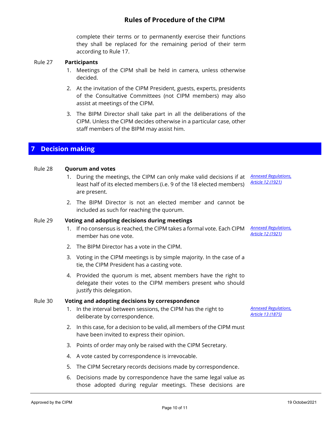complete their terms or to permanently exercise their functions they shall be replaced for the remaining period of their term according to Rule 17.

#### <span id="page-9-0"></span>Rule 27 **Participants**

- 1. Meetings of the CIPM shall be held in camera, unless otherwise decided.
- 2. At the invitation of the CIPM President, guests, experts, presidents of the Consultative Committees (not CIPM members) may also assist at meetings of the CIPM.
- 3. The BIPM Director shall take part in all the deliberations of the CIPM. Unless the CIPM decides otherwise in a particular case, other staff members of the BIPM may assist him.

## <span id="page-9-1"></span>**7 Decision making**

#### <span id="page-9-2"></span>Rule 28 **Quorum and votes**

- 1. During the meetings, the CIPM can only make valid decisions if at least half of its elected members (i.e. 9 of the 18 elected members) are present. *Annexed [Regulations,](https://www.bipm.org/documents/20126/44107685/metre-convention.pdf/cd9c9e57-0cc6-4cda-2930-ec1d7c853743?version=1.5&download=true)  Article [12 \(1921\)](https://www.bipm.org/documents/20126/44107685/metre-convention.pdf/cd9c9e57-0cc6-4cda-2930-ec1d7c853743?version=1.5&download=true)*
- 2. The BIPM Director is not an elected member and cannot be included as such for reaching the quorum.

#### <span id="page-9-3"></span>Rule 29 **Voting and adopting decisions during meetings**

- 1. If no consensus is reached, the CIPM takes a formal vote. Each CIPM *Annexed [Regulations,](https://www.bipm.org/documents/20126/44107685/metre-convention.pdf/cd9c9e57-0cc6-4cda-2930-ec1d7c853743?version=1.5&download=true)* member has one vote.
- 2. The BIPM Director has a vote in the CIPM.
- 3. Voting in the CIPM meetings is by simple majority. In the case of a tie, the CIPM President has a casting vote.
- 4. Provided the quorum is met, absent members have the right to delegate their votes to the CIPM members present who should justify this delegation.

#### <span id="page-9-4"></span>Rule 30 **Voting and adopting decisions by correspondence**

- 1. In the interval between sessions, the CIPM has the right to deliberate by correspondence.
- 2. In this case, for a decision to be valid, all members of the CIPM must have been invited to express their opinion.
- 3. Points of order may only be raised with the CIPM Secretary.
- 4. A vote casted by correspondence is irrevocable.
- 5. The CIPM Secretary records decisions made by correspondence.
- 6. Decisions made by correspondence have the same legal value as those adopted during regular meetings. These decisions are

*Article [12 \(1921\)](https://www.bipm.org/documents/20126/44107685/metre-convention.pdf/cd9c9e57-0cc6-4cda-2930-ec1d7c853743?version=1.5&download=true)*

*Annexed [Regulations,](https://www.bipm.org/documents/20126/44107685/metre-convention.pdf/cd9c9e57-0cc6-4cda-2930-ec1d7c853743?version=1.5&download=true)  Article [13 \(1875\)](https://www.bipm.org/documents/20126/44107685/metre-convention.pdf/cd9c9e57-0cc6-4cda-2930-ec1d7c853743?version=1.5&download=true)*